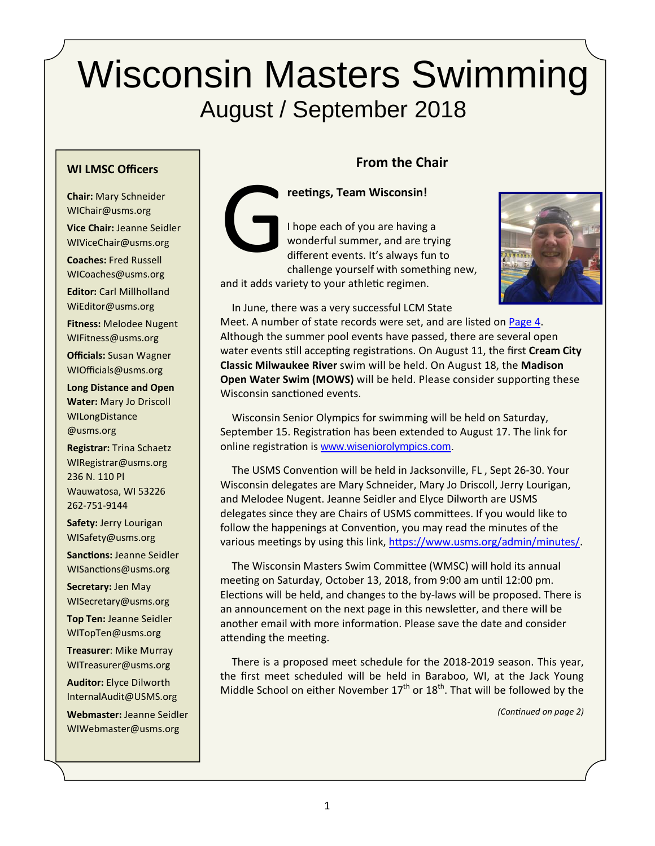# Wisconsin Masters Swimming August / September 2018

#### **WI LMSC Officers**

**Chair:** Mary Schneider WIChair@usms.org **Vice Chair:** Jeanne Seidler

WIViceChair@usms.org

**Coaches:** Fred Russell WICoaches@usms.org

**Editor:** Carl Millholland WiEditor@usms.org

**Fitness:** Melodee Nugent WIFitness@usms.org **Officials:** Susan Wagner WIOfficials@usms.org

**Long Distance and Open Water:** Mary Jo Driscoll WILongDistance @usms.org

**Registrar:** Trina Schaetz WIRegistrar@usms.org 236 N. 110 Pl Wauwatosa, WI 53226 262‐751‐9144

**Safety:** Jerry Lourigan WISafety@usms.org

**Sanctions: Jeanne Seidler** WISanctions@usms.org

**Secretary:** Jen May WISecretary@usms.org

**Top Ten:** Jeanne Seidler WITopTen@usms.org

**Treasurer**: Mike Murray WITreasurer@usms.org

**Auditor:** Elyce Dilworth InternalAudit@USMS.org

**Webmaster:** Jeanne Seidler WIWebmaster@usms.org

## **From the Chair**



**reetings, Team Wisconsin!**<br>
I hope each of you are having<br>
wonderful summer, and are t<br>
different events. It's always fu<br>
challenge yourself with some I hope each of you are having a wonderful summer, and are trying different events. It's always fun to challenge yourself with something new, and it adds variety to your athletic regimen.



In June, there was a very successful LCM State

Meet. A number of state records were set, and are listed on Page 4. Although the summer pool events have passed, there are several open water events still accepting registrations. On August 11, the first Cream City **Classic Milwaukee River** swim will be held. On August 18, the **Madison Open Water Swim (MOWS)** will be held. Please consider supporting these Wisconsin sanctioned events.

Wisconsin Senior Olympics for swimming will be held on Saturday, September 15. Registration has been extended to August 17. The link for online registration is www.wiseniorolympics.com.

The USMS Convention will be held in Jacksonville, FL, Sept 26-30. Your Wisconsin delegates are Mary Schneider, Mary Jo Driscoll, Jerry Lourigan, and Melodee Nugent. Jeanne Seidler and Elyce Dilworth are USMS delegates since they are Chairs of USMS committees. If you would like to follow the happenings at Convention, you may read the minutes of the various meetings by using this link, https://www.usms.org/admin/minutes/.

The Wisconsin Masters Swim Committee (WMSC) will hold its annual meeting on Saturday, October 13, 2018, from 9:00 am until 12:00 pm. Elections will be held, and changes to the by-laws will be proposed. There is an announcement on the next page in this newsletter, and there will be another email with more information. Please save the date and consider attending the meeting.

There is a proposed meet schedule for the 2018‐2019 season. This year, the first meet scheduled will be held in Baraboo, WI, at the Jack Young Middle School on either November  $17<sup>th</sup>$  or  $18<sup>th</sup>$ . That will be followed by the

*(ConƟnued on page 2)*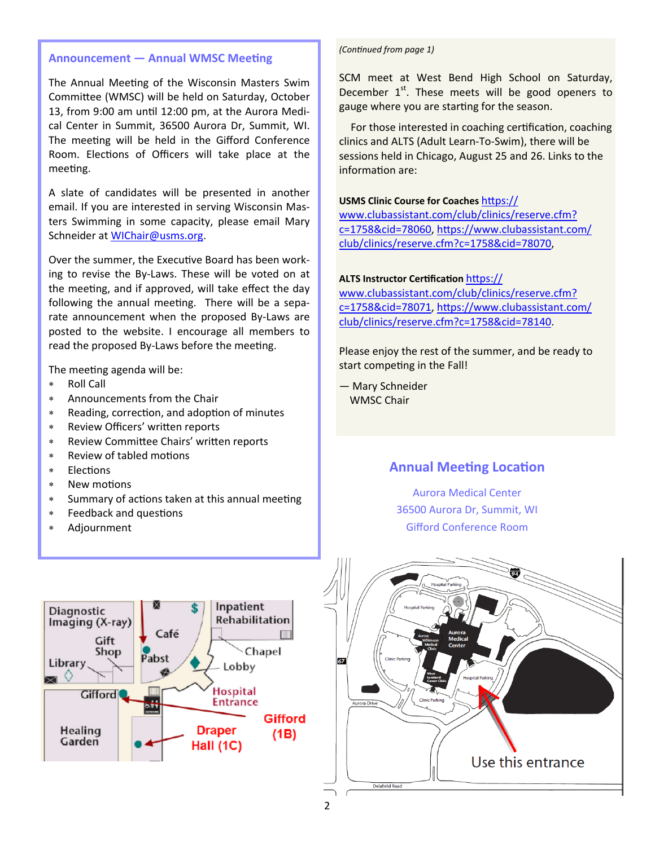#### **Announcement — Annual WMSC Meeting**

The Annual Meeting of the Wisconsin Masters Swim Committee (WMSC) will be held on Saturday, October 13, from 9:00 am until 12:00 pm, at the Aurora Medical Center in Summit, 36500 Aurora Dr, Summit, WI. The meeting will be held in the Gifford Conference Room. Elections of Officers will take place at the meeting.

A slate of candidates will be presented in another email. If you are interested in serving Wisconsin Mas‐ ters Swimming in some capacity, please email Mary Schneider at WIChair@usms.org.

Over the summer, the Executive Board has been working to revise the By‐Laws. These will be voted on at the meeting, and if approved, will take effect the day following the annual meeting. There will be a separate announcement when the proposed By-Laws are posted to the website. I encourage all members to read the proposed By-Laws before the meeting.

The meeting agenda will be:

- Roll Call
- Announcements from the Chair
- \* Reading, correction, and adoption of minutes
- Review Officers' wriƩen reports
- \* Review Committee Chairs' written reports
- \* Review of tabled motions
- \* Elections
- \* New motions
- \* Summary of actions taken at this annual meeting
- \* Feedback and questions
- Adjournment

*(ConƟnued from page 1)* 

SCM meet at West Bend High School on Saturday, December  $1<sup>st</sup>$ . These meets will be good openers to gauge where you are starting for the season.

For those interested in coaching certification, coaching clinics and ALTS (Adult Learn‐To‐Swim), there will be sessions held in Chicago, August 25 and 26. Links to the information are:

#### **USMS Clinic Course for Coaches https://**

www.clubassistant.com/club/clinics/reserve.cfm? c=1758&cid=78060, https://www.clubassistant.com/ club/clinics/reserve.cfm?c=1758&cid=78070,

#### **ALTS Instructor CerƟficaƟon** hƩps://

www.clubassistant.com/club/clinics/reserve.cfm? c=1758&cid=78071, hƩps://www.clubassistant.com/ club/clinics/reserve.cfm?c=1758&cid=78140.

Please enjoy the rest of the summer, and be ready to start competing in the Fall!

— Mary Schneider WMSC Chair

#### **Annual Meeting Location**

Aurora Medical Center 36500 Aurora Dr, Summit, WI Gifford Conference Room



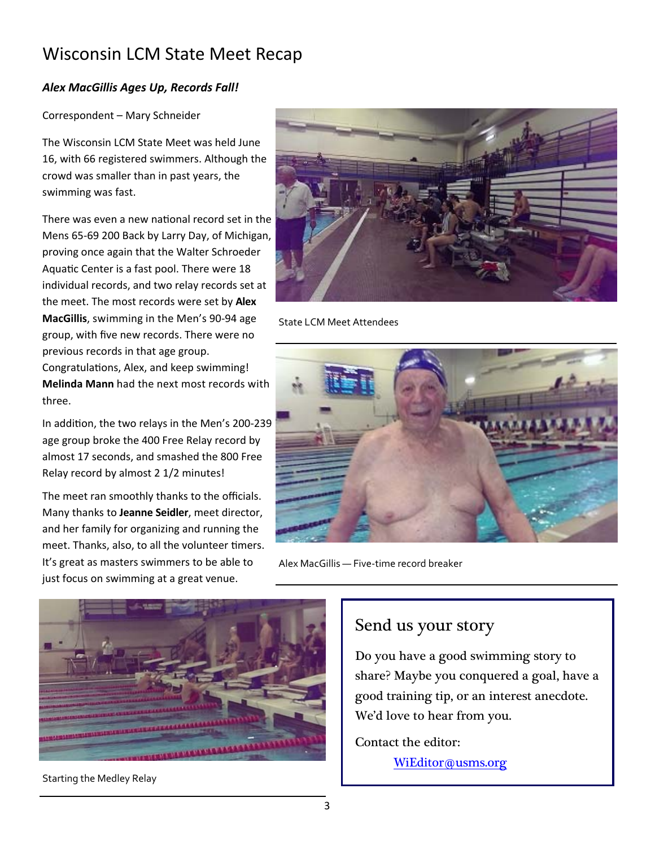# Wisconsin LCM State Meet Recap

#### *Alex MacGillis Ages Up, Records Fall!*

#### Correspondent – Mary Schneider

The Wisconsin LCM State Meet was held June 16, with 66 registered swimmers. Although the crowd was smaller than in past years, the swimming was fast.

There was even a new national record set in the Mens 65‐69 200 Back by Larry Day, of Michigan, proving once again that the Walter Schroeder Aquatic Center is a fast pool. There were 18 individual records, and two relay records set at the meet. The most records were set by **Alex MacGillis**, swimming in the Men's 90‐94 age group, with five new records. There were no previous records in that age group.

Congratulations, Alex, and keep swimming! **Melinda Mann** had the next most records with three.

In addition, the two relays in the Men's 200-239 age group broke the 400 Free Relay record by almost 17 seconds, and smashed the 800 Free Relay record by almost 2 1/2 minutes!

The meet ran smoothly thanks to the officials. Many thanks to **Jeanne Seidler**, meet director, and her family for organizing and running the meet. Thanks, also, to all the volunteer timers. It's great as masters swimmers to be able to just focus on swimming at a great venue.



State LCM Meet Attendees



Alex MacGillis — Five‐time record breaker



Starting the Medley Relay

## Send us your story

Do you have a good swimming story to share? Maybe you conquered a goal, have a good training tip, or an interest anecdote. We'd love to hear from you.

Contact the editor: WiEditor@usms.org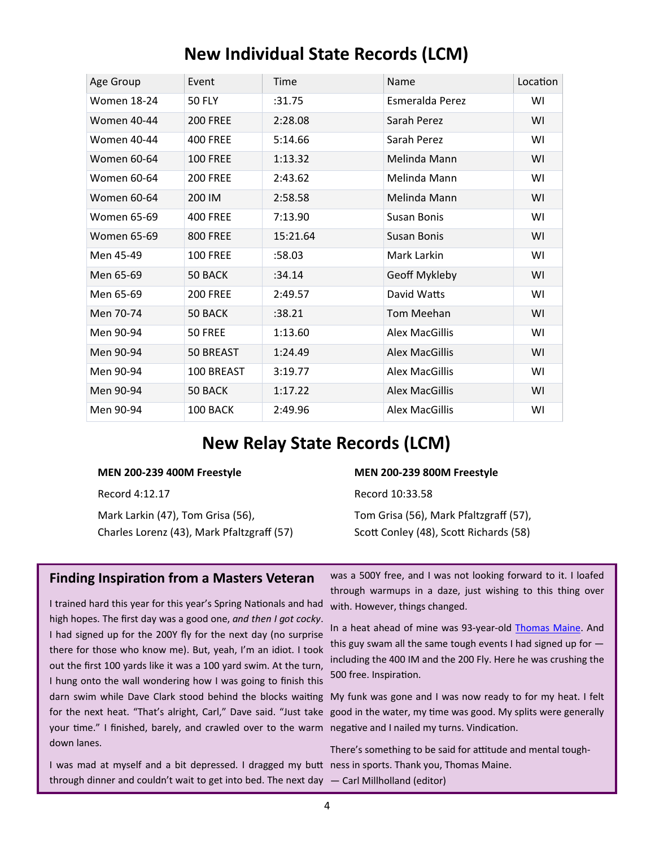| Age Group          | Event           | Time     | Name                  | Location |
|--------------------|-----------------|----------|-----------------------|----------|
| <b>Women 18-24</b> | <b>50 FLY</b>   | :31.75   | Esmeralda Perez       | W١       |
| <b>Women 40-44</b> | <b>200 FREE</b> | 2:28.08  | Sarah Perez           | WI       |
| <b>Women 40-44</b> | <b>400 FREE</b> | 5:14.66  | Sarah Perez           | W١       |
| Women 60-64        | <b>100 FREE</b> | 1:13.32  | Melinda Mann          | WI       |
| Women 60-64        | <b>200 FREE</b> | 2:43.62  | Melinda Mann          | W١       |
| Women 60-64        | 200 IM          | 2:58.58  | Melinda Mann          | WI       |
| Women 65-69        | <b>400 FREE</b> | 7:13.90  | Susan Bonis           | W١       |
| <b>Women 65-69</b> | <b>800 FREE</b> | 15:21.64 | <b>Susan Bonis</b>    | WI       |
| Men 45-49          | <b>100 FREE</b> | :58.03   | Mark Larkin           | W١       |
| Men 65-69          | 50 BACK         | :34.14   | Geoff Mykleby         | WI       |
| Men 65-69          | <b>200 FREE</b> | 2:49.57  | David Watts           | W١       |
| Men 70-74          | 50 BACK         | :38.21   | Tom Meehan            | WI       |
| Men 90-94          | 50 FREE         | 1:13.60  | Alex MacGillis        | W١       |
| Men 90-94          | 50 BREAST       | 1:24.49  | <b>Alex MacGillis</b> | WI       |
| Men 90-94          | 100 BREAST      | 3:19.77  | Alex MacGillis        | W١       |
| Men 90-94          | 50 BACK         | 1:17.22  | <b>Alex MacGillis</b> | WI       |
| Men 90-94          | 100 BACK        | 2:49.96  | Alex MacGillis        | WI       |

# **New Individual State Records (LCM)**

# **New Relay State Records (LCM)**

#### **MEN 200‐239 400M Freestyle**

Record 4:12.17

Mark Larkin (47), Tom Grisa (56), Charles Lorenz (43), Mark Pfaltzgraff (57)

#### **MEN 200‐239 800M Freestyle**

Record 10:33.58

Tom Grisa (56), Mark Pfaltzgraff (57), Scott Conley (48), Scott Richards (58)

#### **Finding Inspiration from a Masters Veteran**

I trained hard this year for this year's Spring Nationals and had high hopes. The first day was a good one, *and then I got cocky*. I had signed up for the 200Y fly for the next day (no surprise there for those who know me). But, yeah, I'm an idiot. I took out the first 100 yards like it was a 100 yard swim. At the turn, I hung onto the wall wondering how I was going to finish this darn swim while Dave Clark stood behind the blocks waiting My funk was gone and I was now ready to for my heat. I felt for the next heat. "That's alright, Carl," Dave said. "Just take good in the water, my time was good. My splits were generally your time." I finished, barely, and crawled over to the warm negative and I nailed my turns. Vindication. down lanes.

I was mad at myself and a bit depressed. I dragged my butt ness in sports. Thank you, Thomas Maine. through dinner and couldn't wait to get into bed. The next day — Carl Millholland (editor)

was a 500Y free, and I was not looking forward to it. I loafed through warmups in a daze, just wishing to this thing over with. However, things changed.

In a heat ahead of mine was 93‐year‐old Thomas Maine. And this guy swam all the same tough events I had signed up for including the 400 IM and the 200 Fly. Here he was crushing the 500 free. Inspiration.

There's something to be said for attitude and mental tough-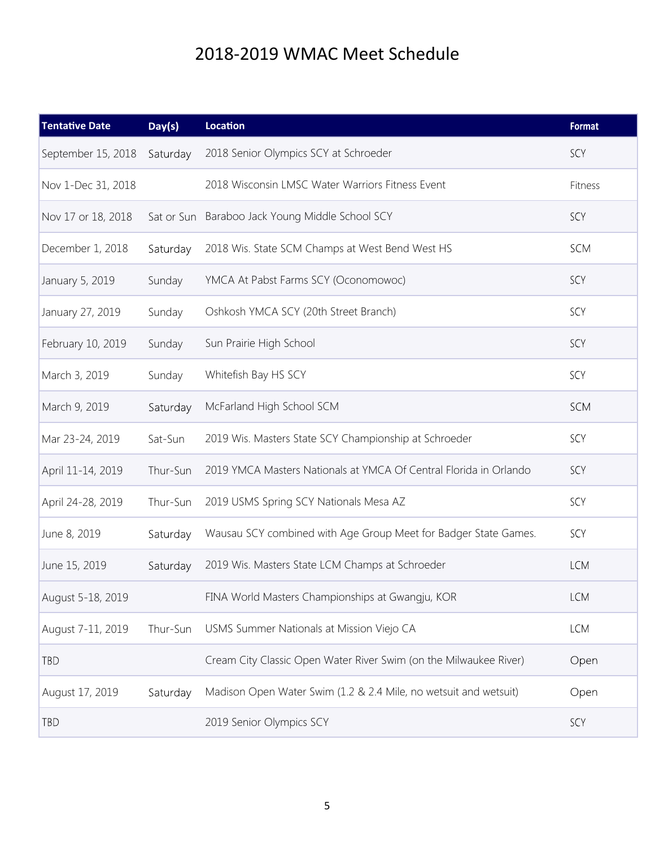# 2018‐2019 WMAC Meet Schedule

| <b>Tentative Date</b> | Day(s)     | <b>Location</b>                                                   | Format     |
|-----------------------|------------|-------------------------------------------------------------------|------------|
| September 15, 2018    | Saturday   | 2018 Senior Olympics SCY at Schroeder                             | SCY        |
| Nov 1-Dec 31, 2018    |            | 2018 Wisconsin LMSC Water Warriors Fitness Event                  | Fitness    |
| Nov 17 or 18, 2018    | Sat or Sun | Baraboo Jack Young Middle School SCY                              | SCY        |
| December 1, 2018      | Saturday   | 2018 Wis. State SCM Champs at West Bend West HS                   | SCM        |
| January 5, 2019       | Sunday     | YMCA At Pabst Farms SCY (Oconomowoc)                              | SCY        |
| January 27, 2019      | Sunday     | Oshkosh YMCA SCY (20th Street Branch)                             | SCY        |
| February 10, 2019     | Sunday     | Sun Prairie High School                                           | SCY        |
| March 3, 2019         | Sunday     | Whitefish Bay HS SCY                                              | SCY        |
| March 9, 2019         | Saturday   | McFarland High School SCM                                         | SCM        |
| Mar 23-24, 2019       | Sat-Sun    | 2019 Wis. Masters State SCY Championship at Schroeder             | SCY        |
| April 11-14, 2019     | Thur-Sun   | 2019 YMCA Masters Nationals at YMCA Of Central Florida in Orlando | SCY        |
| April 24-28, 2019     | Thur-Sun   | 2019 USMS Spring SCY Nationals Mesa AZ                            | SCY        |
| June 8, 2019          | Saturday   | Wausau SCY combined with Age Group Meet for Badger State Games.   | SCY        |
| June 15, 2019         | Saturday   | 2019 Wis. Masters State LCM Champs at Schroeder                   | <b>LCM</b> |
| August 5-18, 2019     |            | FINA World Masters Championships at Gwangju, KOR                  | <b>LCM</b> |
| August 7-11, 2019     | Thur-Sun   | USMS Summer Nationals at Mission Viejo CA                         | <b>LCM</b> |
| TBD                   |            | Cream City Classic Open Water River Swim (on the Milwaukee River) | Open       |
| August 17, 2019       | Saturday   | Madison Open Water Swim (1.2 & 2.4 Mile, no wetsuit and wetsuit)  | Open       |
| TBD                   |            | 2019 Senior Olympics SCY                                          | SCY        |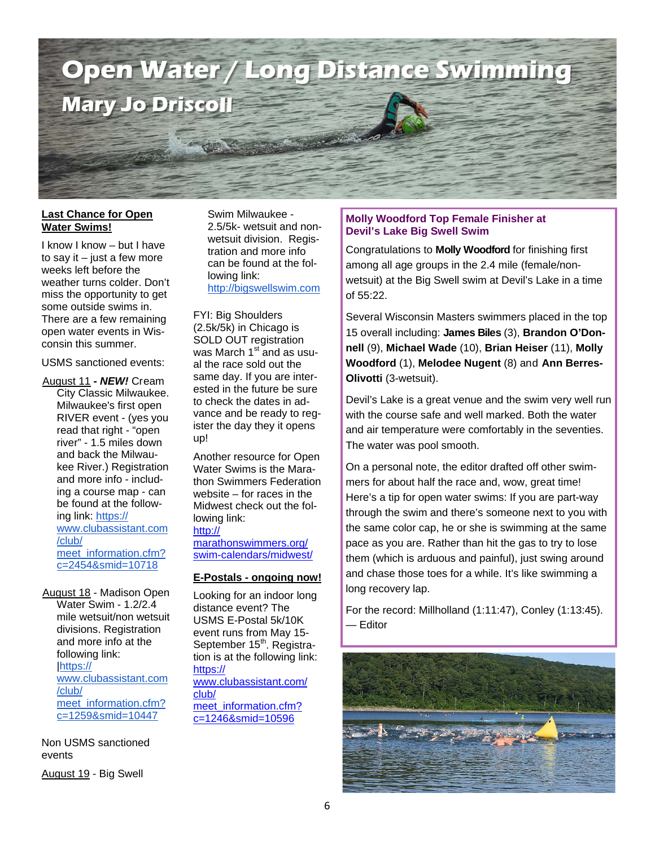

#### **Last Chance for Open Water Swims!**

I know I know – but I have to say it  $-$  just a few more weeks left before the weather turns colder. Don't miss the opportunity to get some outside swims in. There are a few remaining open water events in Wisconsin this summer.

USMS sanctioned events:

August 11 *- NEW!* Cream City Classic Milwaukee. Milwaukee's first open RIVER event - (yes you read that right - "open river" - 1.5 miles down and back the Milwaukee River.) Registration and more info - including a course map - can be found at the following link: https:// www.clubassistant.com /club/ meet\_information.cfm? c=2454&smid=10718

August 18 - Madison Open

Water Swim - 1.2/2.4 mile wetsuit/non wetsuit divisions. Registration and more info at the following link: |https:// www.clubassistant.com /club/ meet\_information.cfm? c=1259&smid=10447

Non USMS sanctioned events

August 19 - Big Swell

Swim Milwaukee - 2.5/5k- wetsuit and nonwetsuit division. Registration and more info can be found at the following link: http://bigswellswim.com

FYI: Big Shoulders (2.5k/5k) in Chicago is SOLD OUT registration was March  $1<sup>st</sup>$  and as usual the race sold out the same day. If you are interested in the future be sure to check the dates in advance and be ready to register the day they it opens up!

Another resource for Open Water Swims is the Marathon Swimmers Federation website – for races in the Midwest check out the following link: http://

marathonswimmers.org/ swim-calendars/midwest/

#### **E-Postals - ongoing now!**

Looking for an indoor long distance event? The USMS E-Postal 5k/10K event runs from May 15- September 15<sup>th</sup>. Registration is at the following link: https:// www.clubassistant.com/ club/ meet\_information.cfm? c=1246&smid=10596

#### **Molly Woodford Top Female Finisher at Devil's Lake Big Swell Swim**

Congratulations to **Molly Woodford** for finishing first among all age groups in the 2.4 mile (female/nonwetsuit) at the Big Swell swim at Devil's Lake in a time of 55:22.

Several Wisconsin Masters swimmers placed in the top 15 overall including: **James Biles** (3), **Brandon O'Donnell** (9), **Michael Wade** (10), **Brian Heiser** (11), **Molly Woodford** (1), **Melodee Nugent** (8) and **Ann Berres-Olivotti** (3-wetsuit).

Devil's Lake is a great venue and the swim very well run with the course safe and well marked. Both the water and air temperature were comfortably in the seventies. The water was pool smooth.

On a personal note, the editor drafted off other swimmers for about half the race and, wow, great time! Here's a tip for open water swims: If you are part-way through the swim and there's someone next to you with the same color cap, he or she is swimming at the same pace as you are. Rather than hit the gas to try to lose them (which is arduous and painful), just swing around and chase those toes for a while. It's like swimming a long recovery lap.

For the record: Millholland (1:11:47), Conley (1:13:45). — Editor

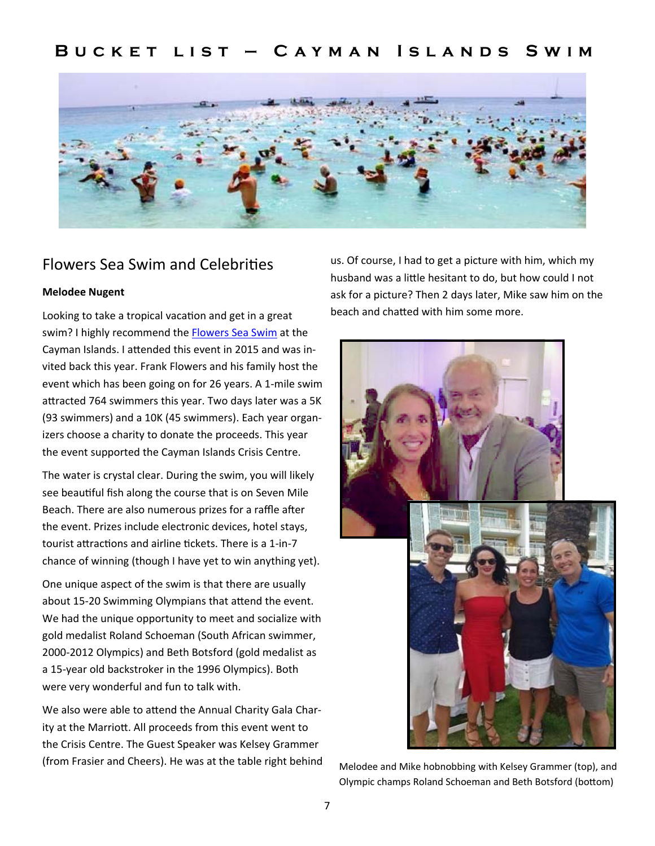## **Bucket list — Cayman Islands Swim**



### Flowers Sea Swim and Celebrities

#### **Melodee Nugent**

Looking to take a tropical vacation and get in a great swim? I highly recommend the Flowers Sea Swim at the Cayman Islands. I attended this event in 2015 and was invited back this year. Frank Flowers and his family host the event which has been going on for 26 years. A 1‐mile swim attracted 764 swimmers this year. Two days later was a 5K (93 swimmers) and a 10K (45 swimmers). Each year organ‐ izers choose a charity to donate the proceeds. This year the event supported the Cayman Islands Crisis Centre.

The water is crystal clear. During the swim, you will likely see beautiful fish along the course that is on Seven Mile Beach. There are also numerous prizes for a raffle after the event. Prizes include electronic devices, hotel stays, tourist attractions and airline tickets. There is a 1-in-7 chance of winning (though I have yet to win anything yet).

One unique aspect of the swim is that there are usually about 15-20 Swimming Olympians that attend the event. We had the unique opportunity to meet and socialize with gold medalist Roland Schoeman (South African swimmer, 2000‐2012 Olympics) and Beth Botsford (gold medalist as a 15‐year old backstroker in the 1996 Olympics). Both were very wonderful and fun to talk with.

We also were able to attend the Annual Charity Gala Charity at the Marriott. All proceeds from this event went to the Crisis Centre. The Guest Speaker was Kelsey Grammer (from Frasier and Cheers). He was at the table right behind

us. Of course, I had to get a picture with him, which my husband was a little hesitant to do, but how could I not ask for a picture? Then 2 days later, Mike saw him on the beach and chatted with him some more.



Melodee and Mike hobnobbing with Kelsey Grammer (top), and Olympic champs Roland Schoeman and Beth Botsford (bottom)